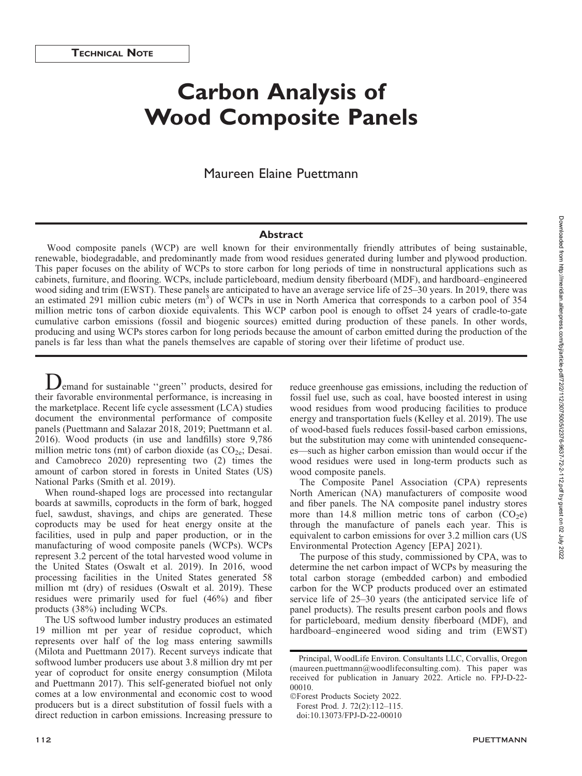# Carbon Analysis of Wood Composite Panels

Maureen Elaine Puettmann

## **Abstract**

Wood composite panels (WCP) are well known for their environmentally friendly attributes of being sustainable, renewable, biodegradable, and predominantly made from wood residues generated during lumber and plywood production. This paper focuses on the ability of WCPs to store carbon for long periods of time in nonstructural applications such as cabinets, furniture, and flooring. WCPs, include particleboard, medium density fiberboard (MDF), and hardboard–engineered wood siding and trim (EWST). These panels are anticipated to have an average service life of 25–30 years. In 2019, there was an estimated 291 million cubic meters  $(m^3)$  of WCPs in use in North America that corresponds to a carbon pool of 354 million metric tons of carbon dioxide equivalents. This WCP carbon pool is enough to offset 24 years of cradle-to-gate cumulative carbon emissions (fossil and biogenic sources) emitted during production of these panels. In other words, producing and using WCPs stores carbon for long periods because the amount of carbon emitted during the production of the panels is far less than what the panels themselves are capable of storing over their lifetime of product use.

**D**emand for sustainable "green" products, desired for their favorable environmental performance, is increasing in the marketplace. Recent life cycle assessment (LCA) studies document the environmental performance of composite panels (Puettmann and Salazar 2018, 2019; Puettmann et al. 2016). Wood products (in use and landfills) store 9,786 million metric tons (mt) of carbon dioxide (as  $CO<sub>2e</sub>$ ; Desai. and Camobreco 2020) representing two (2) times the amount of carbon stored in forests in United States (US) National Parks (Smith et al. 2019).

When round-shaped logs are processed into rectangular boards at sawmills, coproducts in the form of bark, hogged fuel, sawdust, shavings, and chips are generated. These coproducts may be used for heat energy onsite at the facilities, used in pulp and paper production, or in the manufacturing of wood composite panels (WCPs). WCPs represent 3.2 percent of the total harvested wood volume in the United States (Oswalt et al. 2019). In 2016, wood processing facilities in the United States generated 58 million mt (dry) of residues (Oswalt et al. 2019). These residues were primarily used for fuel (46%) and fiber products (38%) including WCPs.

The US softwood lumber industry produces an estimated 19 million mt per year of residue coproduct, which represents over half of the log mass entering sawmills (Milota and Puettmann 2017). Recent surveys indicate that softwood lumber producers use about 3.8 million dry mt per year of coproduct for onsite energy consumption (Milota and Puettmann 2017). This self-generated biofuel not only comes at a low environmental and economic cost to wood producers but is a direct substitution of fossil fuels with a direct reduction in carbon emissions. Increasing pressure to

reduce greenhouse gas emissions, including the reduction of fossil fuel use, such as coal, have boosted interest in using wood residues from wood producing facilities to produce energy and transportation fuels (Kelley et al. 2019). The use of wood-based fuels reduces fossil-based carbon emissions, but the substitution may come with unintended consequences—such as higher carbon emission than would occur if the wood residues were used in long-term products such as wood composite panels.

The Composite Panel Association (CPA) represents North American (NA) manufacturers of composite wood and fiber panels. The NA composite panel industry stores more than 14.8 million metric tons of carbon  $(CO_2e)$ through the manufacture of panels each year. This is equivalent to carbon emissions for over 3.2 million cars (US Environmental Protection Agency [EPA] 2021).

The purpose of this study, commissioned by CPA, was to determine the net carbon impact of WCPs by measuring the total carbon storage (embedded carbon) and embodied carbon for the WCP products produced over an estimated service life of 25–30 years (the anticipated service life of panel products). The results present carbon pools and flows for particleboard, medium density fiberboard (MDF), and hardboard–engineered wood siding and trim (EWST)

Principal, WoodLife Environ. Consultants LLC, Corvallis, Oregon (maureen.puettmann@woodlifeconsulting.com). This paper was received for publication in January 2022. Article no. FPJ-D-22- 00010.

<sup>-</sup>Forest Products Society 2022. Forest Prod. J. 72(2):112–115.

doi:10.13073/FPJ-D-22-00010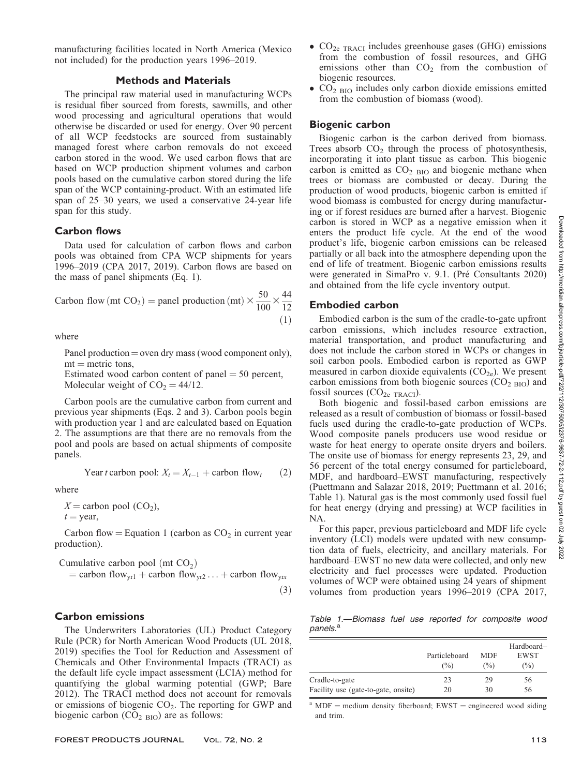manufacturing facilities located in North America (Mexico not included) for the production years 1996–2019.

## Methods and Materials

The principal raw material used in manufacturing WCPs is residual fiber sourced from forests, sawmills, and other wood processing and agricultural operations that would otherwise be discarded or used for energy. Over 90 percent of all WCP feedstocks are sourced from sustainably managed forest where carbon removals do not exceed carbon stored in the wood. We used carbon flows that are based on WCP production shipment volumes and carbon pools based on the cumulative carbon stored during the life span of the WCP containing-product. With an estimated life span of 25–30 years, we used a conservative 24-year life span for this study.

## Carbon flows

Data used for calculation of carbon flows and carbon pools was obtained from CPA WCP shipments for years 1996–2019 (CPA 2017, 2019). Carbon flows are based on the mass of panel shipments (Eq. 1).

Carbon flow (mt CO<sub>2</sub>) = panel production (mt)  $\times \frac{50}{100}$  $\frac{50}{100} \times \frac{44}{12}$ 12  $(1)$ 

where

Panel production  $=$  oven dry mass (wood component only),  $mt = metric$  tons,

Estimated wood carbon content of panel  $= 50$  percent, Molecular weight of  $CO<sub>2</sub> = 44/12$ .

Carbon pools are the cumulative carbon from current and previous year shipments (Eqs. 2 and 3). Carbon pools begin with production year 1 and are calculated based on Equation 2. The assumptions are that there are no removals from the pool and pools are based on actual shipments of composite panels.

Year *t* carbon pool: 
$$
X_t = X_{t-1} +
$$
 carbon flow<sub>t</sub> (2)

where

 $X =$  carbon pool (CO<sub>2</sub>),  $t =$ year,

Carbon flow = Equation 1 (carbon as  $CO<sub>2</sub>$  in current year production).

Cumulative carbon pool (mt  $CO<sub>2</sub>$ )  $=$  carbon flow<sub>yr1</sub> + carbon flow<sub>yr2</sub> ... + carbon flow<sub>yrx</sub>

#### $(3)$

## Carbon emissions

The Underwriters Laboratories (UL) Product Category Rule (PCR) for North American Wood Products (UL 2018, 2019) specifies the Tool for Reduction and Assessment of Chemicals and Other Environmental Impacts (TRACI) as the default life cycle impact assessment (LCIA) method for quantifying the global warming potential (GWP; Bare 2012). The TRACI method does not account for removals or emissions of biogenic  $CO<sub>2</sub>$ . The reporting for GWP and biogenic carbon  $(CO<sub>2 BIO</sub>)$  are as follows:

- $\bullet$  CO<sub>2e TRACI</sub> includes greenhouse gases (GHG) emissions from the combustion of fossil resources, and GHG emissions other than  $CO<sub>2</sub>$  from the combustion of biogenic resources.
- $\bullet$  CO<sub>2</sub> <sub>BIO</sub> includes only carbon dioxide emissions emitted from the combustion of biomass (wood).

#### Biogenic carbon

Biogenic carbon is the carbon derived from biomass. Trees absorb  $CO<sub>2</sub>$  through the process of photosynthesis, incorporating it into plant tissue as carbon. This biogenic carbon is emitted as  $CO<sub>2 BIO</sub>$  and biogenic methane when trees or biomass are combusted or decay. During the production of wood products, biogenic carbon is emitted if wood biomass is combusted for energy during manufacturing or if forest residues are burned after a harvest. Biogenic carbon is stored in WCP as a negative emission when it enters the product life cycle. At the end of the wood product's life, biogenic carbon emissions can be released partially or all back into the atmosphere depending upon the end of life of treatment. Biogenic carbon emissions results were generated in SimaPro v. 9.1. (Pré Consultants 2020) and obtained from the life cycle inventory output.

### Embodied carbon

Embodied carbon is the sum of the cradle-to-gate upfront carbon emissions, which includes resource extraction, material transportation, and product manufacturing and does not include the carbon stored in WCPs or changes in soil carbon pools. Embodied carbon is reported as GWP measured in carbon dioxide equivalents  $(CO_{2e})$ . We present carbon emissions from both biogenic sources  $(CO<sub>2 BIO</sub>)$  and fossil sources  $(CO_{2e \text{ TRACI}})$ .

Both biogenic and fossil-based carbon emissions are released as a result of combustion of biomass or fossil-based fuels used during the cradle-to-gate production of WCPs. Wood composite panels producers use wood residue or waste for heat energy to operate onsite dryers and boilers. The onsite use of biomass for energy represents 23, 29, and 56 percent of the total energy consumed for particleboard, MDF, and hardboard–EWST manufacturing, respectively (Puettmann and Salazar 2018, 2019; Puettmann et al. 2016; Table 1). Natural gas is the most commonly used fossil fuel for heat energy (drying and pressing) at WCP facilities in NA.

For this paper, previous particleboard and MDF life cycle inventory (LCI) models were updated with new consumption data of fuels, electricity, and ancillary materials. For hardboard–EWST no new data were collected, and only new electricity and fuel processes were updated. Production volumes of WCP were obtained using 24 years of shipment volumes from production years 1996–2019 (CPA 2017,

Table 1.—Biomass fuel use reported for composite wood panels.<sup>a</sup>

|                                     | Particleboard<br>(%) | MDF<br>(%) | Hardboard-<br><b>EWST</b><br>$\frac{6}{2}$ |
|-------------------------------------|----------------------|------------|--------------------------------------------|
| Cradle-to-gate                      | 23                   | 29         | 56                                         |
| Facility use (gate-to-gate, onsite) | 20                   | 30         | 56                                         |

 $a$  MDF = medium density fiberboard; EWST = engineered wood siding and trim.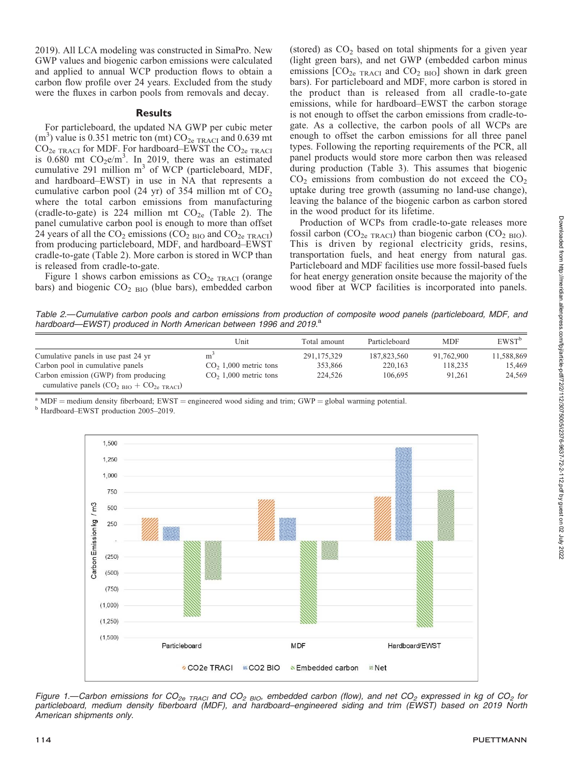2019). All LCA modeling was constructed in SimaPro. New GWP values and biogenic carbon emissions were calculated and applied to annual WCP production flows to obtain a carbon flow profile over 24 years. Excluded from the study were the fluxes in carbon pools from removals and decay.

#### **Results**

For particleboard, the updated NA GWP per cubic meter  $(m<sup>3</sup>)$  value is 0.351 metric ton (mt) CO<sub>2e TRACI</sub> and 0.639 mt  $CO_{2e \, TRACT}$  for MDF. For hardboard–EWST the  $CO_{2e \, TRACT}$ is  $0.680$  mt  $CO<sub>2</sub>e/m<sup>3</sup>$ . In 2019, there was an estimated cumulative 291 million  $m<sup>3</sup>$  of WCP (particleboard, MDF, and hardboard–EWST) in use in NA that represents a cumulative carbon pool (24 yr) of 354 million mt of  $CO<sub>2</sub>$ where the total carbon emissions from manufacturing (cradle-to-gate) is 224 million mt  $CO<sub>2e</sub>$  (Table 2). The panel cumulative carbon pool is enough to more than offset 24 years of all the  $CO_2$  emissions ( $CO_2$  <sub>BIO</sub> and  $CO_{2e \text{ TRACI}}$ ) from producing particleboard, MDF, and hardboard–EWST cradle-to-gate (Table 2). More carbon is stored in WCP than is released from cradle-to-gate.

Figure 1 shows carbon emissions as  $CO<sub>2e</sub> TRACI$  (orange bars) and biogenic  $CO<sub>2 BIO</sub>$  (blue bars), embedded carbon (stored) as  $CO<sub>2</sub>$  based on total shipments for a given year (light green bars), and net GWP (embedded carbon minus emissions  $[CO<sub>2e TRACT</sub>$  and  $CO<sub>2 BIO</sub>]$  shown in dark green bars). For particleboard and MDF, more carbon is stored in the product than is released from all cradle-to-gate emissions, while for hardboard–EWST the carbon storage is not enough to offset the carbon emissions from cradle-togate. As a collective, the carbon pools of all WCPs are enough to offset the carbon emissions for all three panel types. Following the reporting requirements of the PCR, all panel products would store more carbon then was released during production (Table 3). This assumes that biogenic  $CO<sub>2</sub>$  emissions from combustion do not exceed the  $CO<sub>2</sub>$ uptake during tree growth (assuming no land-use change), leaving the balance of the biogenic carbon as carbon stored in the wood product for its lifetime.

Production of WCPs from cradle-to-gate releases more fossil carbon (CO<sub>2e TRACI</sub>) than biogenic carbon (CO<sub>2 BIO</sub>). This is driven by regional electricity grids, resins, transportation fuels, and heat energy from natural gas. Particleboard and MDF facilities use more fossil-based fuels for heat energy generation onsite because the majority of the wood fiber at WCP facilities is incorporated into panels.

Table 2.—Cumulative carbon pools and carbon emissions from production of composite wood panels (particleboard, MDF, and hardboard-EWST) produced in North American between 1996 and 2019.<sup>a</sup>

|                                                                  | Unit                    | Total amount | Particleboard | <b>MDF</b> | $EWST^b$   |
|------------------------------------------------------------------|-------------------------|--------------|---------------|------------|------------|
| Cumulative panels in use past 24 yr                              | m                       | 291,175,329  | 187,823,560   | 91,762,900 | 11,588,869 |
| Carbon pool in cumulative panels                                 | $CO2 1,000$ metric tons | 353,866      | 220,163       | 118,235    | 15,469     |
| Carbon emission (GWP) from producing                             | $CO2 1,000$ metric tons | 224.526      | 106,695       | 91.261     | 24,569     |
| cumulative panels $(CO_{2 \text{ BIO}} + CO_{2e \text{ TRACI}})$ |                         |              |               |            |            |

<sup>a</sup> MDF = medium density fiberboard; EWST = engineered wood siding and trim; GWP = global warming potential. b Hardboard–EWST production 2005–2019.



Figure 1.—Carbon emissions for  $CO_{2e}$  TRACI and  $CO_{2 BIO}$ , embedded carbon (flow), and net  $CO_2$  expressed in kg of  $CO_2$  for particleboard, medium density fiberboard (MDF), and hardboard–engineered siding and trim (EWST) based on 2019 North American shipments only.